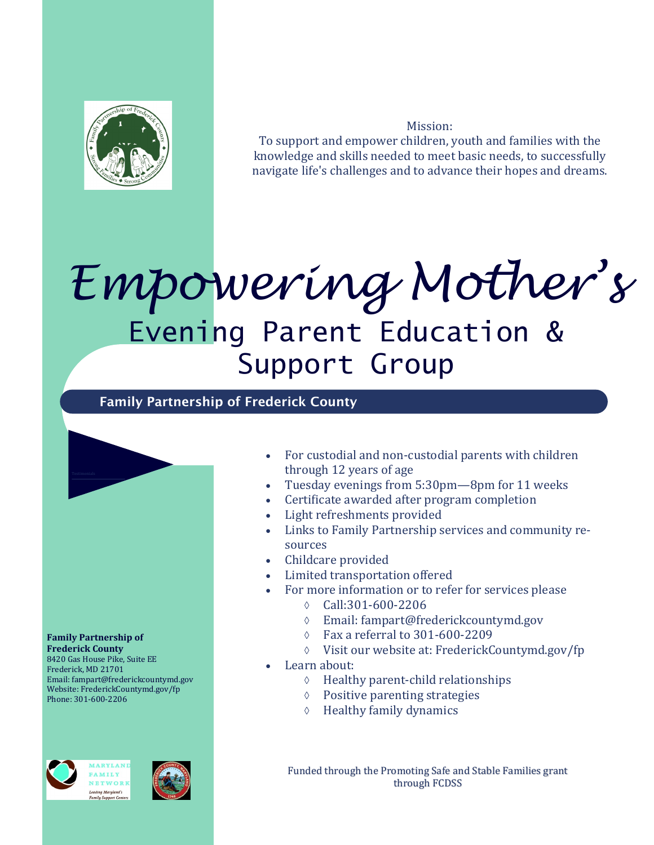

Mission: To support and empower children, youth and families with the knowledge and skills needed to meet basic needs, to successfully navigate life's challenges and to advance their hopes and dreams.

## *Empowering Mother's* Evening Parent Education & Support Group

**Family Partnership of Frederick County**



 For custodial and non-custodial parents with children through 12 years of age

- Tuesday evenings from 5:30pm—8pm for 11 weeks
- Certificate awarded after program completion
- Light refreshments provided
- Links to Family Partnership services and community resources
- Childcare provided
- Limited transportation offered
- For more information or to refer for services please
	- Call:301-600-2206
	- Email: fampart@frederickcountymd.gov
	- $\circ$  Fax a referral to 301-600-2209
	- Visit our website at: FrederickCountymd.gov/fp
- Learn about:
	- $\Diamond$  Healthy parent-child relationships
	- Positive parenting strategies
	- $\Diamond$  Healthy family dynamics

Funded through the Promoting Safe and Stable Families grant through FCDSS

*ARVIANI* **AMILY** 

ETWORK ing Maryland's